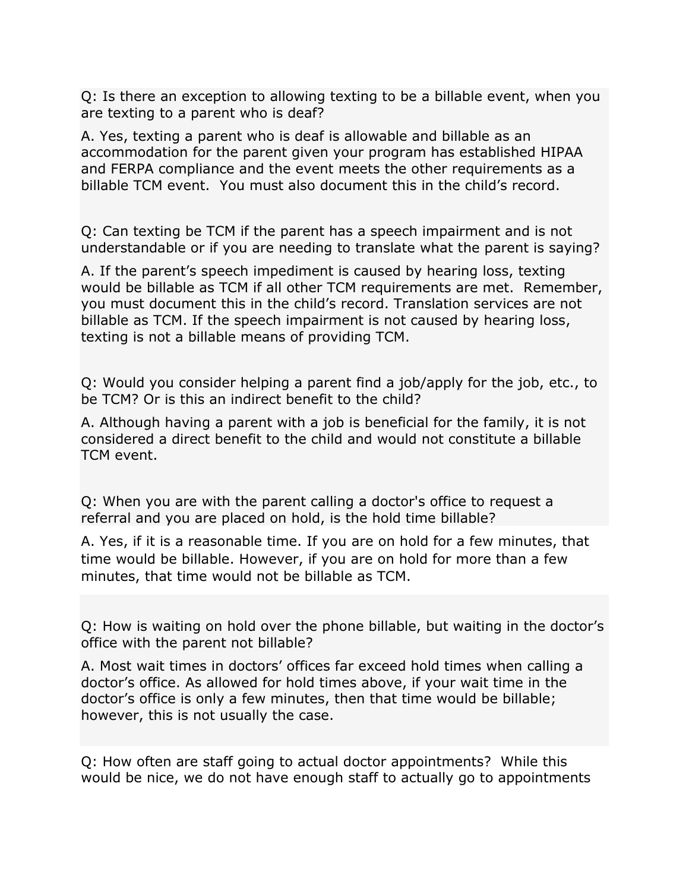Q: Is there an exception to allowing texting to be a billable event, when you are texting to a parent who is deaf?

A. Yes, texting a parent who is deaf is allowable and billable as an accommodation for the parent given your program has established HIPAA and FERPA compliance and the event meets the other requirements as a billable TCM event. You must also document this in the child's record.

Q: Can texting be TCM if the parent has a speech impairment and is not understandable or if you are needing to translate what the parent is saying?

A. If the parent's speech impediment is caused by hearing loss, texting would be billable as TCM if all other TCM requirements are met. Remember, you must document this in the child's record. Translation services are not billable as TCM. If the speech impairment is not caused by hearing loss, texting is not a billable means of providing TCM.

Q: Would you consider helping a parent find a job/apply for the job, etc., to be TCM? Or is this an indirect benefit to the child?

A. Although having a parent with a job is beneficial for the family, it is not considered a direct benefit to the child and would not constitute a billable TCM event.

Q: When you are with the parent calling a doctor's office to request a referral and you are placed on hold, is the hold time billable?

A. Yes, if it is a reasonable time. If you are on hold for a few minutes, that time would be billable. However, if you are on hold for more than a few minutes, that time would not be billable as TCM.

Q: How is waiting on hold over the phone billable, but waiting in the doctor's office with the parent not billable?

A. Most wait times in doctors' offices far exceed hold times when calling a doctor's office. As allowed for hold times above, if your wait time in the doctor's office is only a few minutes, then that time would be billable; however, this is not usually the case.

Q: How often are staff going to actual doctor appointments? While this would be nice, we do not have enough staff to actually go to appointments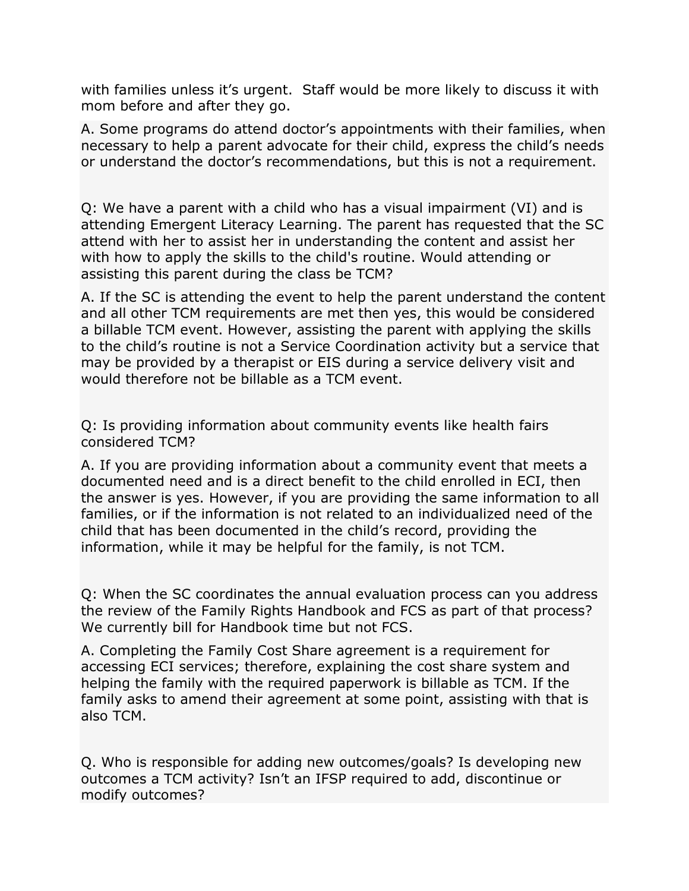with families unless it's urgent. Staff would be more likely to discuss it with mom before and after they go.

A. Some programs do attend doctor's appointments with their families, when necessary to help a parent advocate for their child, express the child's needs or understand the doctor's recommendations, but this is not a requirement.

Q: We have a parent with a child who has a visual impairment (VI) and is attending Emergent Literacy Learning. The parent has requested that the SC attend with her to assist her in understanding the content and assist her with how to apply the skills to the child's routine. Would attending or assisting this parent during the class be TCM?

A. If the SC is attending the event to help the parent understand the content and all other TCM requirements are met then yes, this would be considered a billable TCM event. However, assisting the parent with applying the skills to the child's routine is not a Service Coordination activity but a service that may be provided by a therapist or EIS during a service delivery visit and would therefore not be billable as a TCM event.

Q: Is providing information about community events like health fairs considered TCM?

A. If you are providing information about a community event that meets a documented need and is a direct benefit to the child enrolled in ECI, then the answer is yes. However, if you are providing the same information to all families, or if the information is not related to an individualized need of the child that has been documented in the child's record, providing the information, while it may be helpful for the family, is not TCM.

Q: When the SC coordinates the annual evaluation process can you address the review of the Family Rights Handbook and FCS as part of that process? We currently bill for Handbook time but not FCS.

A. Completing the Family Cost Share agreement is a requirement for accessing ECI services; therefore, explaining the cost share system and helping the family with the required paperwork is billable as TCM. If the family asks to amend their agreement at some point, assisting with that is also TCM.

Q. Who is responsible for adding new outcomes/goals? Is developing new outcomes a TCM activity? Isn't an IFSP required to add, discontinue or modify outcomes?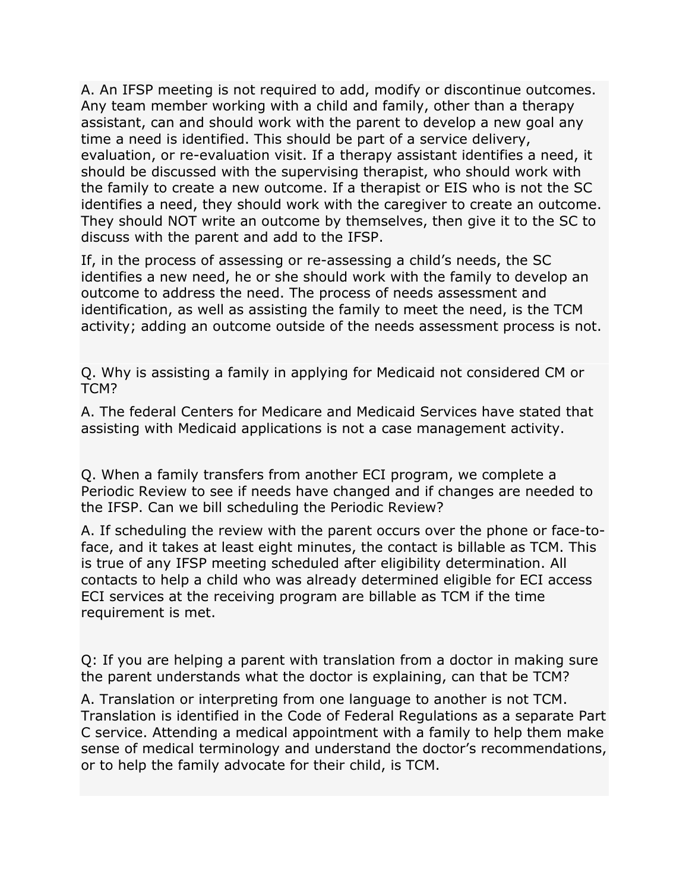A. An IFSP meeting is not required to add, modify or discontinue outcomes. Any team member working with a child and family, other than a therapy assistant, can and should work with the parent to develop a new goal any time a need is identified. This should be part of a service delivery, evaluation, or re-evaluation visit. If a therapy assistant identifies a need, it should be discussed with the supervising therapist, who should work with the family to create a new outcome. If a therapist or EIS who is not the SC identifies a need, they should work with the caregiver to create an outcome. They should NOT write an outcome by themselves, then give it to the SC to discuss with the parent and add to the IFSP.

If, in the process of assessing or re-assessing a child's needs, the SC identifies a new need, he or she should work with the family to develop an outcome to address the need. The process of needs assessment and identification, as well as assisting the family to meet the need, is the TCM activity; adding an outcome outside of the needs assessment process is not.

Q. Why is assisting a family in applying for Medicaid not considered CM or TCM?

A. The federal Centers for Medicare and Medicaid Services have stated that assisting with Medicaid applications is not a case management activity.

Q. When a family transfers from another ECI program, we complete a Periodic Review to see if needs have changed and if changes are needed to the IFSP. Can we bill scheduling the Periodic Review?

A. If scheduling the review with the parent occurs over the phone or face-toface, and it takes at least eight minutes, the contact is billable as TCM. This is true of any IFSP meeting scheduled after eligibility determination. All contacts to help a child who was already determined eligible for ECI access ECI services at the receiving program are billable as TCM if the time requirement is met.

Q: If you are helping a parent with translation from a doctor in making sure the parent understands what the doctor is explaining, can that be TCM?

A. Translation or interpreting from one language to another is not TCM. Translation is identified in the Code of Federal Regulations as a separate Part C service. Attending a medical appointment with a family to help them make sense of medical terminology and understand the doctor's recommendations, or to help the family advocate for their child, is TCM.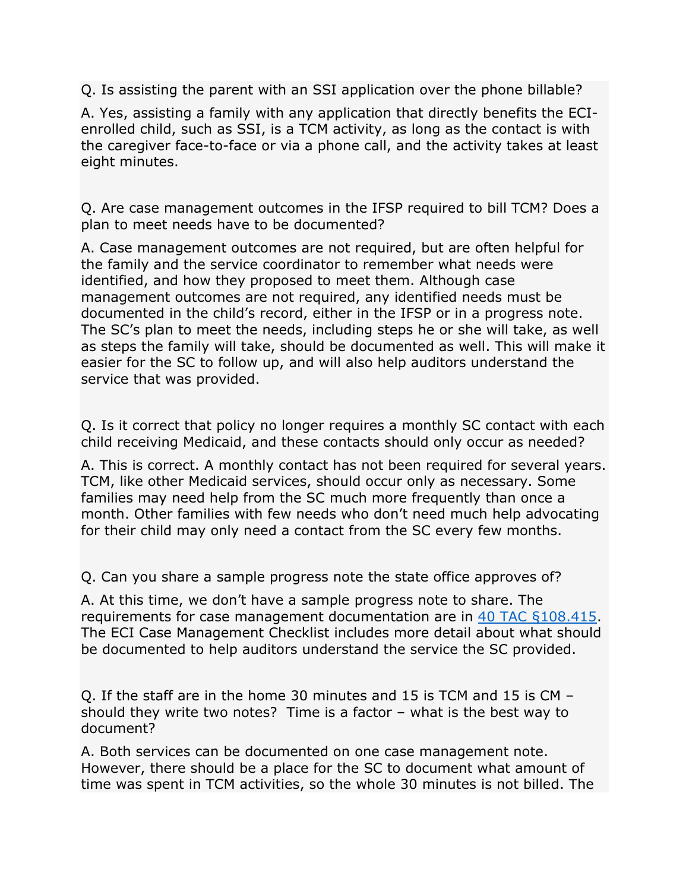Q. Is assisting the parent with an SSI application over the phone billable?

A. Yes, assisting a family with any application that directly benefits the ECIenrolled child, such as SSI, is a TCM activity, as long as the contact is with the caregiver face-to-face or via a phone call, and the activity takes at least eight minutes.

Q. Are case management outcomes in the IFSP required to bill TCM? Does a plan to meet needs have to be documented?

A. Case management outcomes are not required, but are often helpful for the family and the service coordinator to remember what needs were identified, and how they proposed to meet them. Although case management outcomes are not required, any identified needs must be documented in the child's record, either in the IFSP or in a progress note. The SC's plan to meet the needs, including steps he or she will take, as well as steps the family will take, should be documented as well. This will make it easier for the SC to follow up, and will also help auditors understand the service that was provided.

Q. Is it correct that policy no longer requires a monthly SC contact with each child receiving Medicaid, and these contacts should only occur as needed?

A. This is correct. A monthly contact has not been required for several years. TCM, like other Medicaid services, should occur only as necessary. Some families may need help from the SC much more frequently than once a month. Other families with few needs who don't need much help advocating for their child may only need a contact from the SC every few months.

Q. Can you share a sample progress note the state office approves of?

A. At this time, we don't have a sample progress note to share. The requirements for case management documentation are in [40 TAC §108.415.](https://texreg.sos.state.tx.us/public/readtac$ext.TacPage?sl=R&app=9&p_dir=&p_rloc=&p_tloc=&p_ploc=&pg=1&p_tac=&ti=40&pt=2&ch=108&rl=415) The ECI Case Management Checklist includes more detail about what should be documented to help auditors understand the service the SC provided.

Q. If the staff are in the home 30 minutes and 15 is TCM and 15 is CM – should they write two notes? Time is a factor – what is the best way to document?

A. Both services can be documented on one case management note. However, there should be a place for the SC to document what amount of time was spent in TCM activities, so the whole 30 minutes is not billed. The